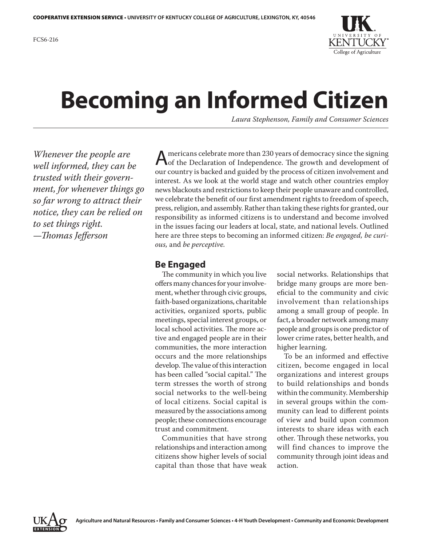

# **Becoming an Informed Citizen**

*Laura Stephenson, Family and Consumer Sciences*

*Whenever the people are well informed, they can be trusted with their government, for whenever things go so far wrong to attract their notice, they can be relied on to set things right.*  —*Thomas Jefferson*

Americans celebrate more than 230 years of democracy since the signing<br>
of the Declaration of Independence. The growth and development of our country is backed and guided by the process of citizen involvement and interest. As we look at the world stage and watch other countries employ news blackouts and restrictions to keep their people unaware and controlled, we celebrate the benefit of our first amendment rights to freedom of speech, press, religion, and assembly. Rather than taking these rights for granted, our responsibility as informed citizens is to understand and become involved in the issues facing our leaders at local, state, and national levels. Outlined here are three steps to becoming an informed citizen: *Be engaged, be curious,* and *be perceptive.*

## **Be Engaged**

The community in which you live offers many chances for your involvement, whether through civic groups, faith-based organizations, charitable activities, organized sports, public meetings, special interest groups, or local school activities. The more active and engaged people are in their communities, the more interaction occurs and the more relationships develop. The value of this interaction has been called "social capital." The term stresses the worth of strong social networks to the well-being of local citizens. Social capital is measured by the associations among people; these connections encourage trust and commitment.

Communities that have strong relationships and interaction among citizens show higher levels of social capital than those that have weak

social networks. Relationships that bridge many groups are more beneficial to the community and civic involvement than relationships among a small group of people. In fact, a broader network among many people and groups is one predictor of lower crime rates, better health, and higher learning.

To be an informed and effective citizen, become engaged in local organizations and interest groups to build relationships and bonds within the community. Membership in several groups within the community can lead to different points of view and build upon common interests to share ideas with each other. Through these networks, you will find chances to improve the community through joint ideas and action.

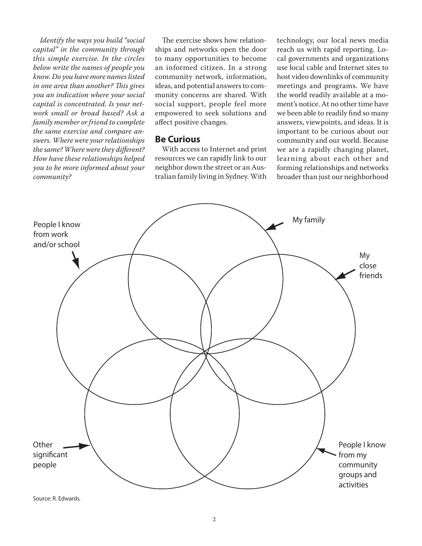*Identify the ways you build "social capital" in the community through this simple exercise. In the circles below write the names of people you know. Do you have more names listed in one area than another? This gives you an indication where your social capital is concentrated. Is your network small or broad based? Ask a family member or friend to complete the same exercise and compare answers. Where were your relationships the same? Where were they different? How have these relationships helped you to be more informed about your community?* 

The exercise shows how relationships and networks open the door to many opportunities to become an informed citizen. In a strong community network, information, ideas, and potential answers to community concerns are shared. With social support, people feel more empowered to seek solutions and affect positive changes.

#### **Be Curious**

With access to Internet and print resources we can rapidly link to our neighbor down the street or an Australian family living in Sydney. With

technology, our local news media reach us with rapid reporting. Local governments and organizations use local cable and Internet sites to host video downlinks of community meetings and programs. We have the world readily available at a moment's notice. At no other time have we been able to readily find so many answers, viewpoints, and ideas. It is important to be curious about our community and our world. Because we are a rapidly changing planet, learning about each other and forming relationships and networks broader than just our neighborhood



Source: R. Edwards.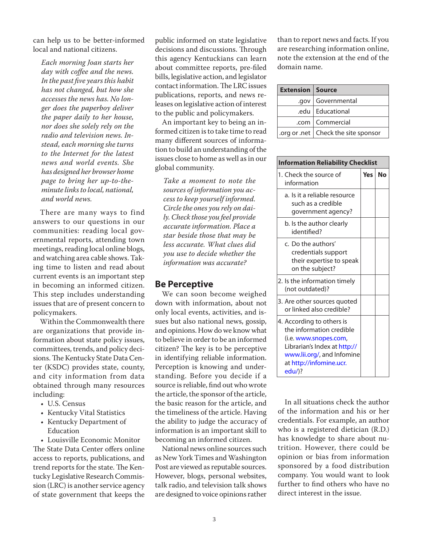can help us to be better-informed local and national citizens.

*Each morning Joan starts her day with coffee and the news. In the past five years this habit has not changed, but how she accesses the news has. No longer does the paperboy deliver the paper daily to her house, nor does she solely rely on the radio and television news. Instead, each morning she turns to the Internet for the latest news and world events. She has designed her browser home page to bring her up-to-theminute links to local, national, and world news.*

There are many ways to find answers to our questions in our communities: reading local governmental reports, attending town meetings, reading local online blogs, and watching area cable shows. Taking time to listen and read about current events is an important step in becoming an informed citizen. This step includes understanding issues that are of present concern to policymakers.

Within the Commonwealth there are organizations that provide information about state policy issues, committees, trends, and policy decisions. The Kentucky State Data Center (KSDC) provides state, county, and city information from data obtained through many resources including:

- U.S. Census
- Kentucky Vital Statistics
- Kentucky Department of **Education**

• Louisville Economic Monitor The State Data Center offers online access to reports, publications, and trend reports for the state. The Kentucky Legislative Research Commission (LRC) is another service agency of state government that keeps the

public informed on state legislative decisions and discussions. Through this agency Kentuckians can learn about committee reports, pre-filed bills, legislative action, and legislator contact information. The LRC issues publications, reports, and news releases on legislative action of interest to the public and policymakers.

An important key to being an informed citizen is to take time to read many different sources of information to build an understanding of the issues close to home as well as in our global community.

*Take a moment to note the sources of information you access to keep yourself informed. Circle the ones you rely on daily. Check those you feel provide accurate information. Place a star beside those that may be less accurate. What clues did you use to decide whether the information was accurate?*

#### **Be Perceptive**

We can soon become weighed down with information, about not only local events, activities, and issues but also national news, gossip, and opinions. How do we know what to believe in order to be an informed citizen? The key is to be perceptive in identifying reliable information. Perception is knowing and understanding. Before you decide if a source is reliable, find out who wrote the article, the sponsor of the article, the basic reason for the article, and the timeliness of the article. Having the ability to judge the accuracy of information is an important skill to becoming an informed citizen.

National news online sources such as New York Times and Washington Post are viewed as reputable sources. However, blogs, personal websites, talk radio, and television talk shows are designed to voice opinions rather

than to report news and facts. If you are researching information online, note the extension at the end of the domain name.

| <b>Extension   Source</b> |                                      |
|---------------------------|--------------------------------------|
|                           | .gov   Governmental                  |
|                           | .edu   Educational                   |
|                           | .com   Commercial                    |
|                           | org or .net   Check the site sponsor |

| <b>Information Reliability Checklist</b>                                                                                                                                          |     |    |  |
|-----------------------------------------------------------------------------------------------------------------------------------------------------------------------------------|-----|----|--|
| 1. Check the source of<br>information                                                                                                                                             | Yes | No |  |
| a. Is it a reliable resource<br>such as a credible<br>government agency?                                                                                                          |     |    |  |
| b. Is the author clearly<br>identified?                                                                                                                                           |     |    |  |
| c. Do the authors'<br>credentials support<br>their expertise to speak<br>on the subject?                                                                                          |     |    |  |
| 2. Is the information timely<br>(not outdated)?                                                                                                                                   |     |    |  |
| 3. Are other sources quoted<br>or linked also credible?                                                                                                                           |     |    |  |
| 4. According to others is<br>the information credible<br>(i.e. www.snopes.com,<br>Librarian's Index at http://<br>www.lii.org/, and Infomine<br>at http://infomine.ucr.<br>edu/)? |     |    |  |

In all situations check the author of the information and his or her credentials. For example, an author who is a registered dietician (R.D.) has knowledge to share about nutrition. However, there could be opinion or bias from information sponsored by a food distribution company. You would want to look further to find others who have no direct interest in the issue.